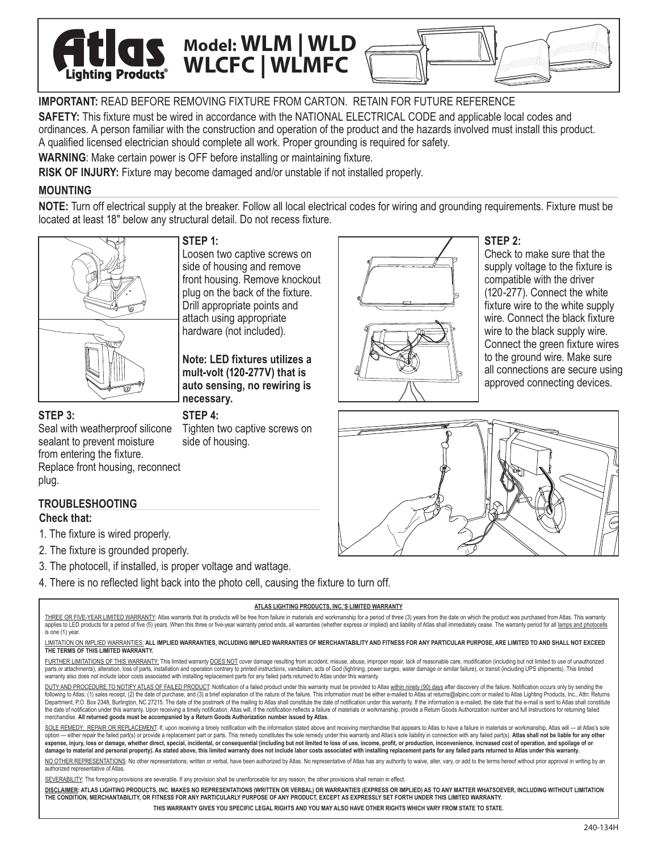**IMPORTANT:** READ BEFORE REMOVING FIXTURE FROM CARTON. RETAIN FOR FUTURE REFERENCE

**SAFETY:** This fixture must be wired in accordance with the NATIONAL ELECTRICAL CODE and applicable local codes and ordinances. A person familiar with the construction and operation of the product and the hazards involved must install this product. A qualified licensed electrician should complete all work. Proper grounding is required for safety.

**WARNING**: Make certain power is OFF before installing or maintaining fixture.

**STEP 1:**

**RISK OF INJURY:** Fixture may become damaged and/or unstable if not installed properly.

Loosen two captive screws on side of housing and remove front housing. Remove knockout plug on the back of the fixture. Drill appropriate points and attach using appropriate hardware (not included).

**Note: LED fixtures utilizes a mult-volt (120-277V) that is auto sensing, no rewiring is** 

**Model: WLM | WLD**<br>Products<sup>®</sup> WLCFC | WLMFC

# **MOUNTING**

**NOTE:** Turn off electrical supply at the breaker. Follow all local electrical codes for wiring and grounding requirements. Fixture must be located at least 18" below any structural detail. Do not recess fixture.



**Lighting Product** 

# **STEP 3:**

Tighten two captive screws on side of housing. Seal with weatherproof silicone sealant to prevent moisture from entering the fixture.

Replace front housing, reconnect plug.

# **TROUBLESHOOTING**

## **Check that:**

- 1. The fixture is wired properly.
- 2. The fixture is grounded properly.
- 3. The photocell, if installed, is proper voltage and wattage.
- 4. There is no reflected light back into the photo cell, causing the fixture to turn off.

**STEP 4:**

**necessary.** 

#### **ATLAS LIGHTING PRODUCTS, INC.'S LIMITED WARRANTY**

THREE OR FIVE-YEAR LIMITED WARRANTY: Atlas warrants that its products will be free from failure in materials and workmanship for a period of three (3) years from the date on which the product was purchased from Atlas. This applies to LED products for a period of five (5) years. When this three or five-year warranty period ends, all warranties (whether express or implied) and liability of Atlas shall immediately cease. The warranty period for is one (1) year.

#### LIMITATION ON IMPLIED WARRANTIES: **ALL IMPLIED WARRANTIES, INCLUDING IMPLIED WARRANTIES OF MERCHANTABILITY AND FITNESS FOR ANY PARTICULAR PURPOSE, ARE LIMITED TO AND SHALL NOT EXCEED THE TERMS OF THIS LIMITED WARRANTY.**

FURTHER LIMITATIONS OF THIS WARRANTY: This limited warranty DOES NOT cover damage resulting from accident, misuse, abuse, improper repair, lack of reasonable care, modification (including but not limited to use of unauthor parts or attachments), alteration, loss of parts, installation and operation contrary to printed instructions, vandalism, acts of God (lightning, power surges, water damage or similar failure), or transit (including UPS sh warranty also does not include labor costs associated with installing replacement parts for any failed parts returned to Atlas under this warranty.

DUTY AND PROCEDURE TO NOTIFY ATLAS OF FAILED PRODUCT: Notification of a failed product under this warranty must be provided to Atlas within ninety (90) days after discovery of the failure. Notification occurs only by sendi following to Atlas: (1) sales receipt, (2) the date of purchase, and (3) a brief explanation of the nature of the failure. This information must be either e-mailed to Atlas at returns@alpinc.com or mailed to Atlas Lighting ent, P.O. Box 2348, Burlington, NC 27215. The date of the postmark of the mailing to Atlas shall constitute the date of notification under this warranty. If the information is e-mailed, the date that the e-mail is sent to the date of notification under this warranty. Upon receiving a timely notification, Atlas will, if the notification reflects a failure of materials or workmanship, provide a Return Goods Authorization number and full instr merchandise. **All returned goods must be accompanied by a Return Goods Authorization number issued by Atlas.**

SOLE REMEDY: REPAIR OR REPLACEMENT: If, upon receiving a timely notification with the information stated above and receiving merchandise that appears to Atlas to have a failure in materials or workmanship, Atlas will -- at option - either repair the failed part(s) or provide a replacement part or parts. This remedy constitutes the sole remedy under this warranty and Atlas's sole liability in connection with any failed part(s). Atlas shall no expense, injury, loss or damage, whether direct, special, incidental, or consequential (including but not limited to loss of use, income, profit, or production, inconvenience, increased cost of operation, and spoilage of o **damage to material and personal property). As stated above, this limited warranty does not include labor costs associated with installing replacement parts for any failed parts returned to Atlas under this warranty.**

NO OTHER REPRESENTATIONS: No other representations, written or verbal, have been authorized by Atlas. No representative of Atlas has any authority to waive, alter, vary, or add to the terms hereof without prior approval in authorized representative of Atlas.

SEVERABILITY: The foregoing provisions are severable. If any provision shall be unenforceable for any reason, the other provisions shall remain in effect.

**DISCLAIMER: ATLAS LIGHTING PRODUCTS, INC. MAKES NO REPRESENTATIONS (WRITTEN OR VERBAL) OR WARRANTIES (EXPRESS OR IMPLIED) AS TO ANY MATTER WHATSOEVER, INCLUDING WITHOUT LIMITATION THE CONDITION, MERCHANTABILITY, OR FITNESS FOR ANY PARTICULARLY PURPOSE OF ANY PRODUCT, EXCEPT AS EXPRESSLY SET FORTH UNDER THIS LIMITED WARRANTY.** 

**THIS WARRANTY GIVES YOU SPECIFIC LEGAL RIGHTS AND YOU MAY ALSO HAVE OTHER RIGHTS WHICH VARY FROM STATE TO STATE.**



Check to make sure that the supply voltage to the fixture is compatible with the driver (120-277). Connect the white fixture wire to the white supply wire. Connect the black fixture. wire to the black supply wire. Connect the green fixture wires to the ground wire. Make sure all connections are secure using approved connecting devices.